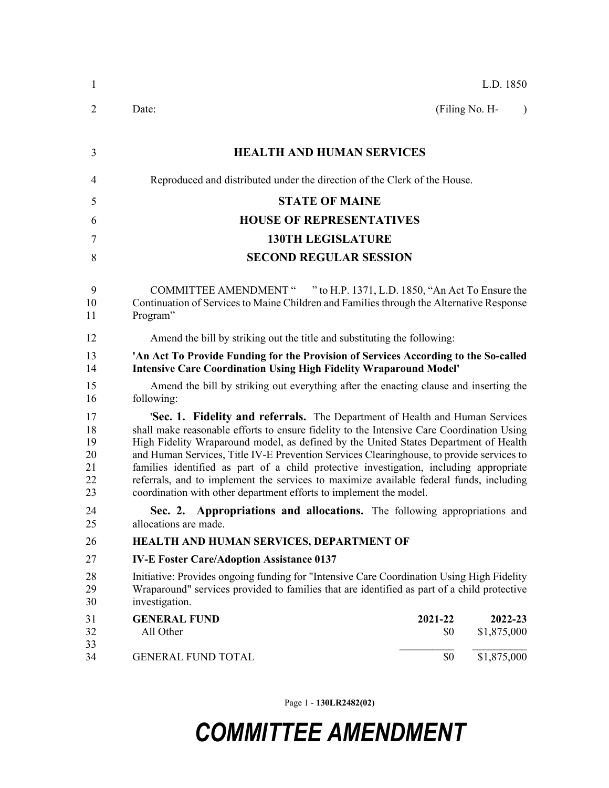| $\mathbf{1}$                           | L.D. 1850                                                                                                                                                                                                                                                                                                                                                                                                                                                                                                                                                                                                                |           |  |  |  |
|----------------------------------------|--------------------------------------------------------------------------------------------------------------------------------------------------------------------------------------------------------------------------------------------------------------------------------------------------------------------------------------------------------------------------------------------------------------------------------------------------------------------------------------------------------------------------------------------------------------------------------------------------------------------------|-----------|--|--|--|
| $\overline{2}$                         | (Filing No. H-<br>Date:                                                                                                                                                                                                                                                                                                                                                                                                                                                                                                                                                                                                  | $\lambda$ |  |  |  |
| 3                                      | <b>HEALTH AND HUMAN SERVICES</b>                                                                                                                                                                                                                                                                                                                                                                                                                                                                                                                                                                                         |           |  |  |  |
| 4                                      | Reproduced and distributed under the direction of the Clerk of the House.                                                                                                                                                                                                                                                                                                                                                                                                                                                                                                                                                |           |  |  |  |
| 5                                      | <b>STATE OF MAINE</b>                                                                                                                                                                                                                                                                                                                                                                                                                                                                                                                                                                                                    |           |  |  |  |
| 6                                      | <b>HOUSE OF REPRESENTATIVES</b>                                                                                                                                                                                                                                                                                                                                                                                                                                                                                                                                                                                          |           |  |  |  |
| 7                                      | <b>130TH LEGISLATURE</b>                                                                                                                                                                                                                                                                                                                                                                                                                                                                                                                                                                                                 |           |  |  |  |
| 8                                      | <b>SECOND REGULAR SESSION</b>                                                                                                                                                                                                                                                                                                                                                                                                                                                                                                                                                                                            |           |  |  |  |
| 9<br>10<br>11                          | COMMITTEE AMENDMENT " " to H.P. 1371, L.D. 1850, "An Act To Ensure the<br>Continuation of Services to Maine Children and Families through the Alternative Response<br>Program"                                                                                                                                                                                                                                                                                                                                                                                                                                           |           |  |  |  |
| 12                                     | Amend the bill by striking out the title and substituting the following:                                                                                                                                                                                                                                                                                                                                                                                                                                                                                                                                                 |           |  |  |  |
| 13<br>14                               | 'An Act To Provide Funding for the Provision of Services According to the So-called<br><b>Intensive Care Coordination Using High Fidelity Wraparound Model'</b>                                                                                                                                                                                                                                                                                                                                                                                                                                                          |           |  |  |  |
| 15<br>16                               | Amend the bill by striking out everything after the enacting clause and inserting the<br>following:                                                                                                                                                                                                                                                                                                                                                                                                                                                                                                                      |           |  |  |  |
| 17<br>18<br>19<br>20<br>21<br>22<br>23 | 'Sec. 1. Fidelity and referrals. The Department of Health and Human Services<br>shall make reasonable efforts to ensure fidelity to the Intensive Care Coordination Using<br>High Fidelity Wraparound model, as defined by the United States Department of Health<br>and Human Services, Title IV-E Prevention Services Clearinghouse, to provide services to<br>families identified as part of a child protective investigation, including appropriate<br>referrals, and to implement the services to maximize available federal funds, including<br>coordination with other department efforts to implement the model. |           |  |  |  |
| 24<br>25                               | Sec. 2. Appropriations and allocations. The following appropriations and<br>allocations are made.                                                                                                                                                                                                                                                                                                                                                                                                                                                                                                                        |           |  |  |  |
| 26                                     | HEALTH AND HUMAN SERVICES, DEPARTMENT OF                                                                                                                                                                                                                                                                                                                                                                                                                                                                                                                                                                                 |           |  |  |  |
| 27                                     | <b>IV-E Foster Care/Adoption Assistance 0137</b>                                                                                                                                                                                                                                                                                                                                                                                                                                                                                                                                                                         |           |  |  |  |
| 28<br>29<br>30                         | Initiative: Provides ongoing funding for "Intensive Care Coordination Using High Fidelity<br>Wraparound" services provided to families that are identified as part of a child protective<br>investigation.                                                                                                                                                                                                                                                                                                                                                                                                               |           |  |  |  |
| 31<br>32                               | <b>GENERAL FUND</b><br>2021-22<br>2022-23<br>All Other<br>\$0<br>\$1,875,000                                                                                                                                                                                                                                                                                                                                                                                                                                                                                                                                             |           |  |  |  |
| 33<br>34                               | \$1,875,000<br>\$0<br><b>GENERAL FUND TOTAL</b>                                                                                                                                                                                                                                                                                                                                                                                                                                                                                                                                                                          |           |  |  |  |

Page 1 - **130LR2482(02)**

## *COMMITTEE AMENDMENT*